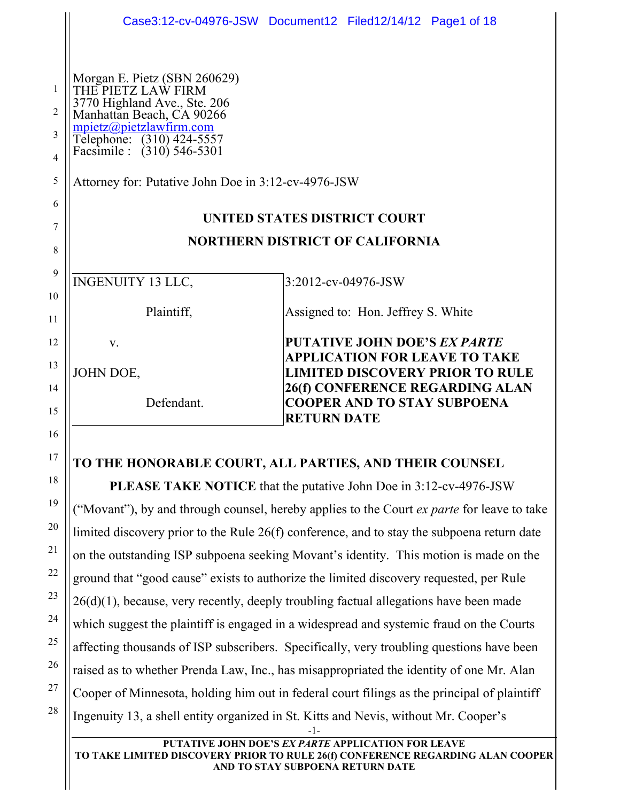|                     | Case3:12-cv-04976-JSW Document12 Filed12/14/12 Page1 of 18                                                      |                     |                                     |                                                                       |  |
|---------------------|-----------------------------------------------------------------------------------------------------------------|---------------------|-------------------------------------|-----------------------------------------------------------------------|--|
|                     |                                                                                                                 |                     |                                     |                                                                       |  |
| 1<br>2              | Morgan E. Pietz (SBN 260629)<br>THE PIETZ LAW FIRM<br>3770 Highland Ave., Ste. 206<br>Manhattan Beach, CA 90266 |                     |                                     |                                                                       |  |
| 3<br>$\overline{4}$ | mpietz@pietzlawfirm.com<br>Telephone: (310) 424-5557<br>Facsimile : (310) 546-5301                              |                     |                                     |                                                                       |  |
| 5                   | Attorney for: Putative John Doe in 3:12-cv-4976-JSW                                                             |                     |                                     |                                                                       |  |
| 6                   |                                                                                                                 |                     |                                     |                                                                       |  |
| 7                   | <b>UNITED STATES DISTRICT COURT</b>                                                                             |                     |                                     |                                                                       |  |
| 8                   | <b>NORTHERN DISTRICT OF CALIFORNIA</b>                                                                          |                     |                                     |                                                                       |  |
| 9                   | <b>INGENUITY 13 LLC,</b>                                                                                        | 3:2012-cv-04976-JSW |                                     |                                                                       |  |
| 10<br>11            | Plaintiff,                                                                                                      |                     | Assigned to: Hon. Jeffrey S. White  |                                                                       |  |
| 12                  | $V_{\cdot}$                                                                                                     |                     | <b>PUTATIVE JOHN DOE'S EX PARTE</b> | APPLICATION FOR LEAVE TO TAKE                                         |  |
| 13                  | JOHN DOE,                                                                                                       |                     |                                     | <b>LIMITED DISCOVERY PRIOR TO RULE</b>                                |  |
| 14<br>15            | Defendant.                                                                                                      | <b>RETURN DATE</b>  |                                     | 26(f) CONFERENCE REGARDING ALAN<br><b>COOPER AND TO STAY SUBPOENA</b> |  |
| 16                  |                                                                                                                 |                     |                                     |                                                                       |  |

#### **TO THE HONORABLE COURT, ALL PARTIES, AND THEIR COUNSEL**

17

18

19

20

21

22

23

24

25

26

27

28

-1- **PLEASE TAKE NOTICE** that the putative John Doe in 3:12-cv-4976-JSW ("Movant"), by and through counsel, hereby applies to the Court *ex parte* for leave to take limited discovery prior to the Rule 26(f) conference, and to stay the subpoena return date on the outstanding ISP subpoena seeking Movant's identity. This motion is made on the ground that "good cause" exists to authorize the limited discovery requested, per Rule  $26(d)(1)$ , because, very recently, deeply troubling factual allegations have been made which suggest the plaintiff is engaged in a widespread and systemic fraud on the Courts affecting thousands of ISP subscribers. Specifically, very troubling questions have been raised as to whether Prenda Law, Inc., has misappropriated the identity of one Mr. Alan Cooper of Minnesota, holding him out in federal court filings as the principal of plaintiff Ingenuity 13, a shell entity organized in St. Kitts and Nevis, without Mr. Cooper's

**PUTATIVE JOHN DOE'S** *EX PARTE* **APPLICATION FOR LEAVE TO TAKE LIMITED DISCOVERY PRIOR TO RULE 26(f) CONFERENCE REGARDING ALAN COOPER AND TO STAY SUBPOENA RETURN DATE**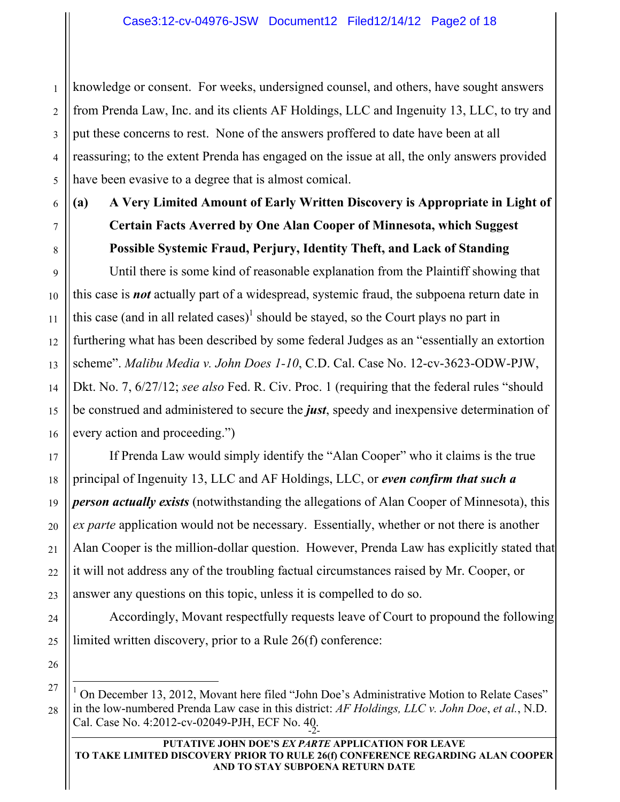knowledge or consent. For weeks, undersigned counsel, and others, have sought answers from Prenda Law, Inc. and its clients AF Holdings, LLC and Ingenuity 13, LLC, to try and put these concerns to rest. None of the answers proffered to date have been at all reassuring; to the extent Prenda has engaged on the issue at all, the only answers provided have been evasive to a degree that is almost comical.

**(a) A Very Limited Amount of Early Written Discovery is Appropriate in Light of Certain Facts Averred by One Alan Cooper of Minnesota, which Suggest Possible Systemic Fraud, Perjury, Identity Theft, and Lack of Standing**

Until there is some kind of reasonable explanation from the Plaintiff showing that this case is *not* actually part of a widespread, systemic fraud, the subpoena return date in this case (and in all related cases)<sup>1</sup> should be stayed, so the Court plays no part in furthering what has been described by some federal Judges as an "essentially an extortion scheme". *Malibu Media v. John Does 1-10*, C.D. Cal. Case No. 12-cv-3623-ODW-PJW, Dkt. No. 7, 6/27/12; *see also* Fed. R. Civ. Proc. 1 (requiring that the federal rules "should be construed and administered to secure the *just*, speedy and inexpensive determination of every action and proceeding.")

If Prenda Law would simply identify the "Alan Cooper" who it claims is the true principal of Ingenuity 13, LLC and AF Holdings, LLC, or *even confirm that such a person actually exists* (notwithstanding the allegations of Alan Cooper of Minnesota), this *ex parte* application would not be necessary. Essentially, whether or not there is another Alan Cooper is the million-dollar question. However, Prenda Law has explicitly stated that it will not address any of the troubling factual circumstances raised by Mr. Cooper, or answer any questions on this topic, unless it is compelled to do so.

Accordingly, Movant respectfully requests leave of Court to propound the following limited written discovery, prior to a Rule 26(f) conference:

Cal. Case No. 4:2012-cv-02049-PJH, ECF No. 40.<br>-2- $\frac{1}{1}$  On December 13, 2012, Movant here filed "John Doe's Administrative Motion to Relate Cases" in the low-numbered Prenda Law case in this district: *AF Holdings, LLC v. John Doe*, *et al.*, N.D.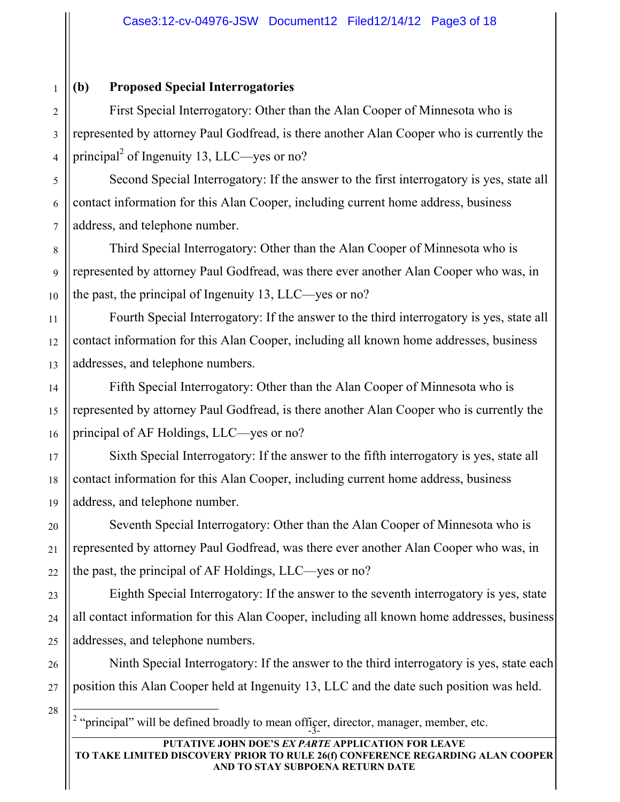#### **(b) Proposed Special Interrogatories**

First Special Interrogatory: Other than the Alan Cooper of Minnesota who is represented by attorney Paul Godfread, is there another Alan Cooper who is currently the principal<sup>2</sup> of Ingenuity 13, LLC—yes or no?

Second Special Interrogatory: If the answer to the first interrogatory is yes, state all contact information for this Alan Cooper, including current home address, business address, and telephone number.

Third Special Interrogatory: Other than the Alan Cooper of Minnesota who is represented by attorney Paul Godfread, was there ever another Alan Cooper who was, in the past, the principal of Ingenuity 13, LLC—yes or no?

Fourth Special Interrogatory: If the answer to the third interrogatory is yes, state all contact information for this Alan Cooper, including all known home addresses, business addresses, and telephone numbers.

Fifth Special Interrogatory: Other than the Alan Cooper of Minnesota who is represented by attorney Paul Godfread, is there another Alan Cooper who is currently the principal of AF Holdings, LLC—yes or no?

Sixth Special Interrogatory: If the answer to the fifth interrogatory is yes, state all contact information for this Alan Cooper, including current home address, business address, and telephone number.

Seventh Special Interrogatory: Other than the Alan Cooper of Minnesota who is represented by attorney Paul Godfread, was there ever another Alan Cooper who was, in the past, the principal of AF Holdings, LLC—yes or no?

Eighth Special Interrogatory: If the answer to the seventh interrogatory is yes, state all contact information for this Alan Cooper, including all known home addresses, business addresses, and telephone numbers.

Ninth Special Interrogatory: If the answer to the third interrogatory is yes, state each position this Alan Cooper held at Ingenuity 13, LLC and the date such position was held.

"principal" will be defined broadly to mean officer, director, manager, member, etc.  $\frac{1}{2}$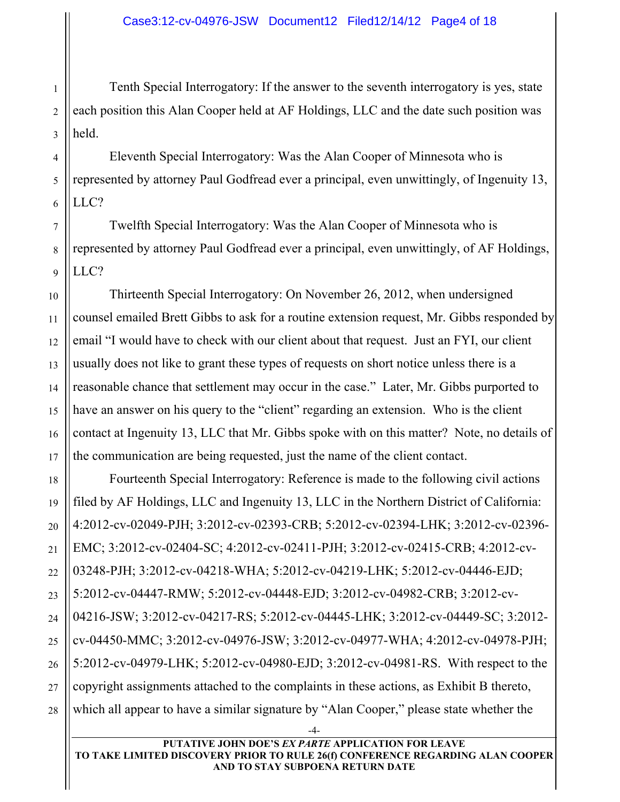Tenth Special Interrogatory: If the answer to the seventh interrogatory is yes, state each position this Alan Cooper held at AF Holdings, LLC and the date such position was held.

Eleventh Special Interrogatory: Was the Alan Cooper of Minnesota who is represented by attorney Paul Godfread ever a principal, even unwittingly, of Ingenuity 13, LLC?

Twelfth Special Interrogatory: Was the Alan Cooper of Minnesota who is represented by attorney Paul Godfread ever a principal, even unwittingly, of AF Holdings, LLC?

Thirteenth Special Interrogatory: On November 26, 2012, when undersigned counsel emailed Brett Gibbs to ask for a routine extension request, Mr. Gibbs responded by email "I would have to check with our client about that request. Just an FYI, our client usually does not like to grant these types of requests on short notice unless there is a reasonable chance that settlement may occur in the case." Later, Mr. Gibbs purported to have an answer on his query to the "client" regarding an extension. Who is the client contact at Ingenuity 13, LLC that Mr. Gibbs spoke with on this matter? Note, no details of the communication are being requested, just the name of the client contact.

Fourteenth Special Interrogatory: Reference is made to the following civil actions filed by AF Holdings, LLC and Ingenuity 13, LLC in the Northern District of California: 4:2012-cv-02049-PJH; 3:2012-cv-02393-CRB; 5:2012-cv-02394-LHK; 3:2012-cv-02396- EMC; 3:2012-cv-02404-SC; 4:2012-cv-02411-PJH; 3:2012-cv-02415-CRB; 4:2012-cv-03248-PJH; 3:2012-cv-04218-WHA; 5:2012-cv-04219-LHK; 5:2012-cv-04446-EJD; 5:2012-cv-04447-RMW; 5:2012-cv-04448-EJD; 3:2012-cv-04982-CRB; 3:2012-cv-04216-JSW; 3:2012-cv-04217-RS; 5:2012-cv-04445-LHK; 3:2012-cv-04449-SC; 3:2012 cv-04450-MMC; 3:2012-cv-04976-JSW; 3:2012-cv-04977-WHA; 4:2012-cv-04978-PJH; 5:2012-cv-04979-LHK; 5:2012-cv-04980-EJD; 3:2012-cv-04981-RS. With respect to the copyright assignments attached to the complaints in these actions, as Exhibit B thereto, which all appear to have a similar signature by "Alan Cooper," please state whether the

-4-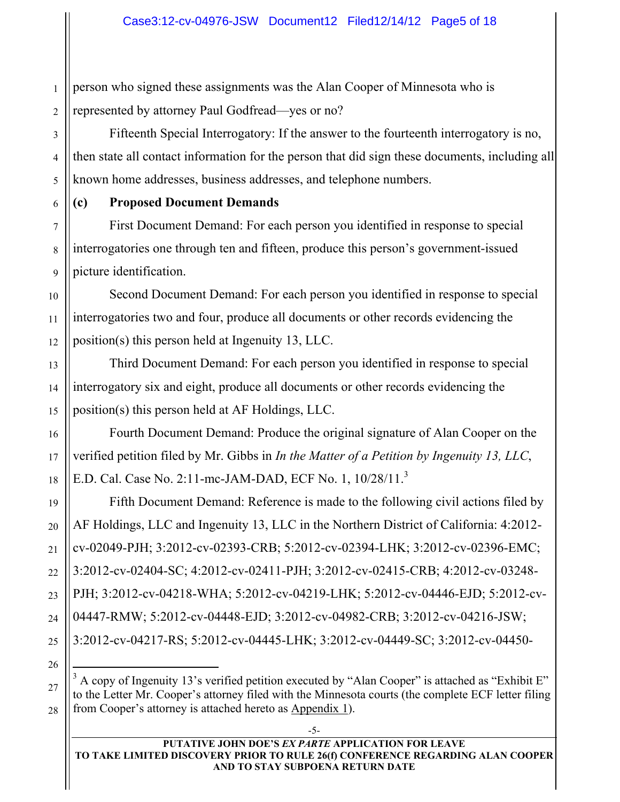1 2 person who signed these assignments was the Alan Cooper of Minnesota who is represented by attorney Paul Godfread—yes or no?

Fifteenth Special Interrogatory: If the answer to the fourteenth interrogatory is no, then state all contact information for the person that did sign these documents, including all known home addresses, business addresses, and telephone numbers.

**(c) Proposed Document Demands**

First Document Demand: For each person you identified in response to special interrogatories one through ten and fifteen, produce this person's government-issued picture identification.

Second Document Demand: For each person you identified in response to special interrogatories two and four, produce all documents or other records evidencing the position(s) this person held at Ingenuity 13, LLC.

Third Document Demand: For each person you identified in response to special interrogatory six and eight, produce all documents or other records evidencing the position(s) this person held at AF Holdings, LLC.

Fourth Document Demand: Produce the original signature of Alan Cooper on the verified petition filed by Mr. Gibbs in *In the Matter of a Petition by Ingenuity 13, LLC*, E.D. Cal. Case No. 2:11-mc-JAM-DAD, ECF No. 1, 10/28/11.<sup>3</sup>

Fifth Document Demand: Reference is made to the following civil actions filed by AF Holdings, LLC and Ingenuity 13, LLC in the Northern District of California: 4:2012 cv-02049-PJH; 3:2012-cv-02393-CRB; 5:2012-cv-02394-LHK; 3:2012-cv-02396-EMC; 3:2012-cv-02404-SC; 4:2012-cv-02411-PJH; 3:2012-cv-02415-CRB; 4:2012-cv-03248- PJH; 3:2012-cv-04218-WHA; 5:2012-cv-04219-LHK; 5:2012-cv-04446-EJD; 5:2012-cv-04447-RMW; 5:2012-cv-04448-EJD; 3:2012-cv-04982-CRB; 3:2012-cv-04216-JSW; 3:2012-cv-04217-RS; 5:2012-cv-04445-LHK; 3:2012-cv-04449-SC; 3:2012-cv-04450-

-5-

 <sup>3</sup>  $3$  A copy of Ingenuity 13's verified petition executed by "Alan Cooper" is attached as "Exhibit E" to the Letter Mr. Cooper's attorney filed with the Minnesota courts (the complete ECF letter filing from Cooper's attorney is attached hereto as Appendix 1).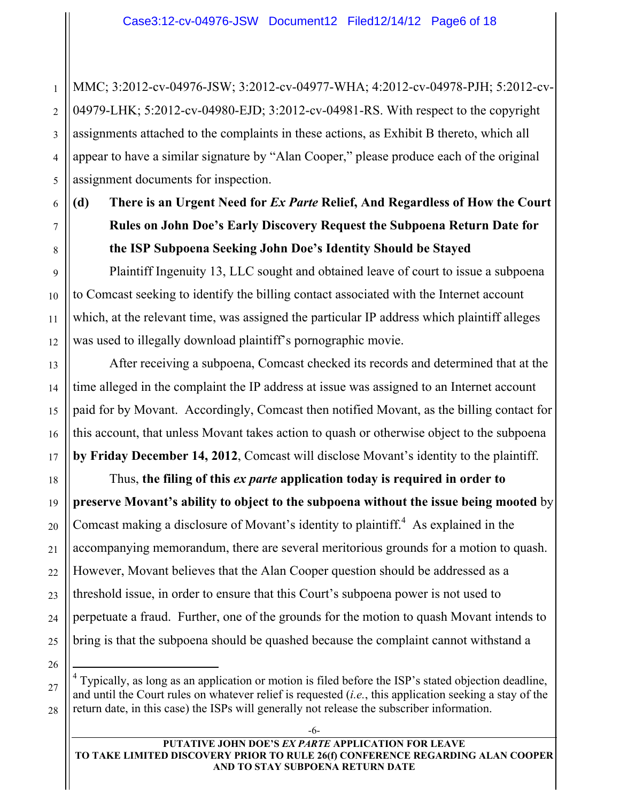MMC; 3:2012-cv-04976-JSW; 3:2012-cv-04977-WHA; 4:2012-cv-04978-PJH; 5:2012-cv-04979-LHK; 5:2012-cv-04980-EJD; 3:2012-cv-04981-RS. With respect to the copyright assignments attached to the complaints in these actions, as Exhibit B thereto, which all appear to have a similar signature by "Alan Cooper," please produce each of the original assignment documents for inspection.

**(d) There is an Urgent Need for** *Ex Parte* **Relief, And Regardless of How the Court Rules on John Doe's Early Discovery Request the Subpoena Return Date for the ISP Subpoena Seeking John Doe's Identity Should be Stayed**

Plaintiff Ingenuity 13, LLC sought and obtained leave of court to issue a subpoena to Comcast seeking to identify the billing contact associated with the Internet account which, at the relevant time, was assigned the particular IP address which plaintiff alleges was used to illegally download plaintiff's pornographic movie.

After receiving a subpoena, Comcast checked its records and determined that at the time alleged in the complaint the IP address at issue was assigned to an Internet account paid for by Movant. Accordingly, Comcast then notified Movant, as the billing contact for this account, that unless Movant takes action to quash or otherwise object to the subpoena **by Friday December 14, 2012**, Comcast will disclose Movant's identity to the plaintiff.

Thus, **the filing of this** *ex parte* **application today is required in order to preserve Movant's ability to object to the subpoena without the issue being mooted** by Comcast making a disclosure of Movant's identity to plaintiff.<sup>4</sup> As explained in the accompanying memorandum, there are several meritorious grounds for a motion to quash. However, Movant believes that the Alan Cooper question should be addressed as a threshold issue, in order to ensure that this Court's subpoena power is not used to perpetuate a fraud. Further, one of the grounds for the motion to quash Movant intends to bring is that the subpoena should be quashed because the complaint cannot withstand a

1

2

3

4

5

6

7

**PUTATIVE JOHN DOE'S** *EX PARTE* **APPLICATION FOR LEAVE TO TAKE LIMITED DISCOVERY PRIOR TO RULE 26(f) CONFERENCE REGARDING ALAN COOPER AND TO STAY SUBPOENA RETURN DATE**

 $\frac{1}{4}$  $4$  Typically, as long as an application or motion is filed before the ISP's stated objection deadline, and until the Court rules on whatever relief is requested (*i.e.*, this application seeking a stay of the return date, in this case) the ISPs will generally not release the subscriber information.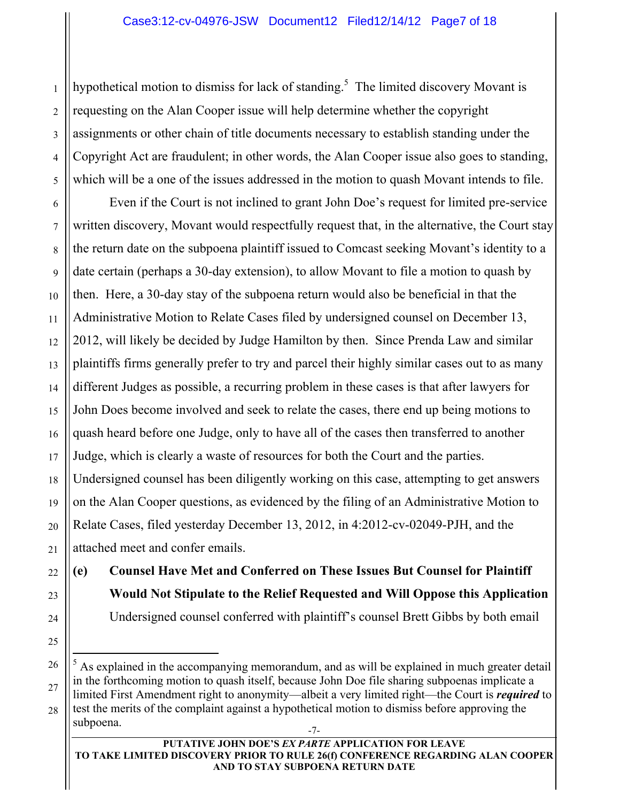hypothetical motion to dismiss for lack of standing.<sup>5</sup> The limited discovery Movant is requesting on the Alan Cooper issue will help determine whether the copyright assignments or other chain of title documents necessary to establish standing under the Copyright Act are fraudulent; in other words, the Alan Cooper issue also goes to standing, which will be a one of the issues addressed in the motion to quash Movant intends to file.

Even if the Court is not inclined to grant John Doe's request for limited pre-service written discovery, Movant would respectfully request that, in the alternative, the Court stay the return date on the subpoena plaintiff issued to Comcast seeking Movant's identity to a date certain (perhaps a 30-day extension), to allow Movant to file a motion to quash by then. Here, a 30-day stay of the subpoena return would also be beneficial in that the Administrative Motion to Relate Cases filed by undersigned counsel on December 13, 2012, will likely be decided by Judge Hamilton by then. Since Prenda Law and similar plaintiffs firms generally prefer to try and parcel their highly similar cases out to as many different Judges as possible, a recurring problem in these cases is that after lawyers for John Does become involved and seek to relate the cases, there end up being motions to quash heard before one Judge, only to have all of the cases then transferred to another Judge, which is clearly a waste of resources for both the Court and the parties. Undersigned counsel has been diligently working on this case, attempting to get answers on the Alan Cooper questions, as evidenced by the filing of an Administrative Motion to Relate Cases, filed yesterday December 13, 2012, in 4:2012-cv-02049-PJH, and the attached meet and confer emails.

**(e) Counsel Have Met and Conferred on These Issues But Counsel for Plaintiff Would Not Stipulate to the Relief Requested and Will Oppose this Application** Undersigned counsel conferred with plaintiff's counsel Brett Gibbs by both email

<sup>-7-</sup> 5  $<sup>5</sup>$  As explained in the accompanying memorandum, and as will be explained in much greater detail</sup> in the forthcoming motion to quash itself, because John Doe file sharing subpoenas implicate a limited First Amendment right to anonymity—albeit a very limited right—the Court is *required* to test the merits of the complaint against a hypothetical motion to dismiss before approving the subpoena.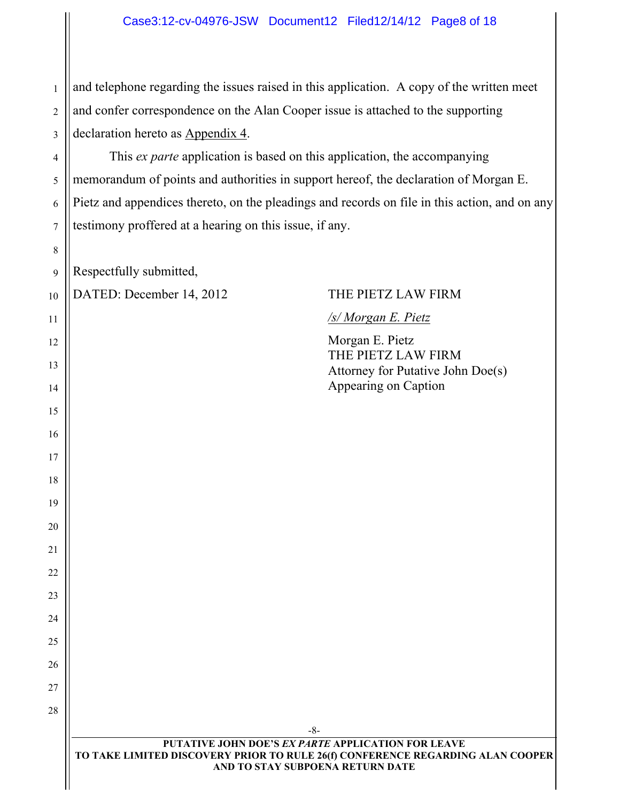1 2 3 and telephone regarding the issues raised in this application. A copy of the written meet and confer correspondence on the Alan Cooper issue is attached to the supporting declaration hereto as Appendix 4.

4 This *ex parte* application is based on this application, the accompanying memorandum of points and authorities in support hereof, the declaration of Morgan E. Pietz and appendices thereto, on the pleadings and records on file in this action, and on any testimony proffered at a hearing on this issue, if any.

Respectfully submitted,

5

6

7

8

9

11

12

13

14

15

16

17

18

19

20

21

22

23

24

25

26

27

28

10 DATED: December 14, 2012 THE PIETZ LAW FIRM

#### */s/ Morgan E. Pietz*

Morgan E. Pietz THE PIETZ LAW FIRM Attorney for Putative John Doe(s) Appearing on Caption

| $-0-$                                                                          |  |  |  |  |  |
|--------------------------------------------------------------------------------|--|--|--|--|--|
| <b>PUTATIVE JOHN DOE'S EX PARTE APPLICATION FOR LEAVE</b>                      |  |  |  |  |  |
| TO TAKE LIMITED DISCOVERY PRIOR TO RULE 26(f) CONFERENCE REGARDING ALAN COOPER |  |  |  |  |  |
| AND TO STAY SUBPOENA RETURN DATE                                               |  |  |  |  |  |
|                                                                                |  |  |  |  |  |

 $\circ$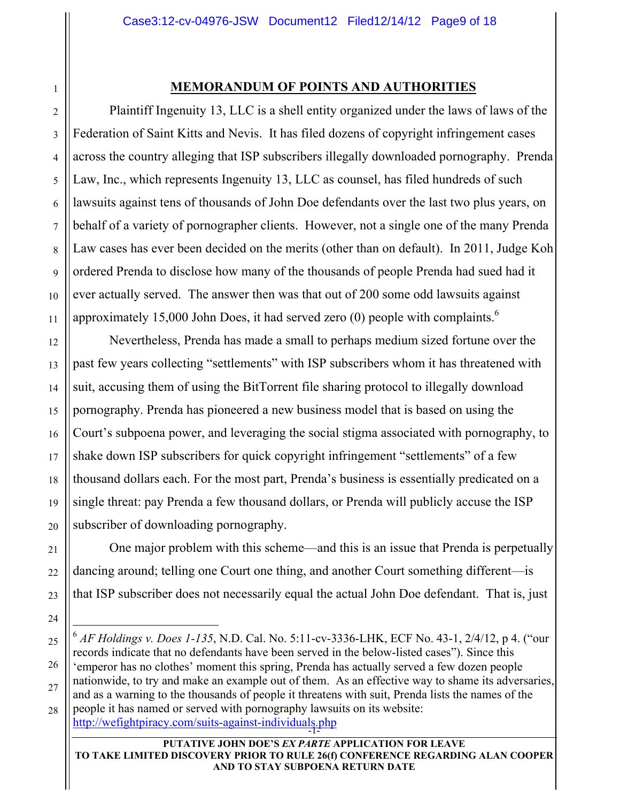#### **MEMORANDUM OF POINTS AND AUTHORITIES**

Plaintiff Ingenuity 13, LLC is a shell entity organized under the laws of laws of the Federation of Saint Kitts and Nevis. It has filed dozens of copyright infringement cases across the country alleging that ISP subscribers illegally downloaded pornography. Prenda Law, Inc., which represents Ingenuity 13, LLC as counsel, has filed hundreds of such lawsuits against tens of thousands of John Doe defendants over the last two plus years, on behalf of a variety of pornographer clients. However, not a single one of the many Prenda Law cases has ever been decided on the merits (other than on default). In 2011, Judge Koh ordered Prenda to disclose how many of the thousands of people Prenda had sued had it ever actually served. The answer then was that out of 200 some odd lawsuits against approximately 15,000 John Does, it had served zero  $(0)$  people with complaints.<sup>6</sup>

Nevertheless, Prenda has made a small to perhaps medium sized fortune over the past few years collecting "settlements" with ISP subscribers whom it has threatened with suit, accusing them of using the BitTorrent file sharing protocol to illegally download pornography. Prenda has pioneered a new business model that is based on using the Court's subpoena power, and leveraging the social stigma associated with pornography, to shake down ISP subscribers for quick copyright infringement "settlements" of a few thousand dollars each. For the most part, Prenda's business is essentially predicated on a single threat: pay Prenda a few thousand dollars, or Prenda will publicly accuse the ISP subscriber of downloading pornography.

One major problem with this scheme—and this is an issue that Prenda is perpetually dancing around; telling one Court one thing, and another Court something different—is that ISP subscriber does not necessarily equal the actual John Doe defendant. That is, just

http://wefightpiracy.com/suits-against-individuals.php

#### **PUTATIVE JOHN DOE'S** *EX PARTE* **APPLICATION FOR LEAVE TO TAKE LIMITED DISCOVERY PRIOR TO RULE 26(f) CONFERENCE REGARDING ALAN COOPER AND TO STAY SUBPOENA RETURN DATE**

 <sup>6</sup> *AF Holdings v. Does 1-135*, N.D. Cal. No. 5:11-cv-3336-LHK, ECF No. 43-1, 2/4/12, p 4. ("our records indicate that no defendants have been served in the below-listed cases"). Since this 'emperor has no clothes' moment this spring, Prenda has actually served a few dozen people nationwide, to try and make an example out of them. As an effective way to shame its adversaries, and as a warning to the thousands of people it threatens with suit, Prenda lists the names of the people it has named or served with pornography lawsuits on its website: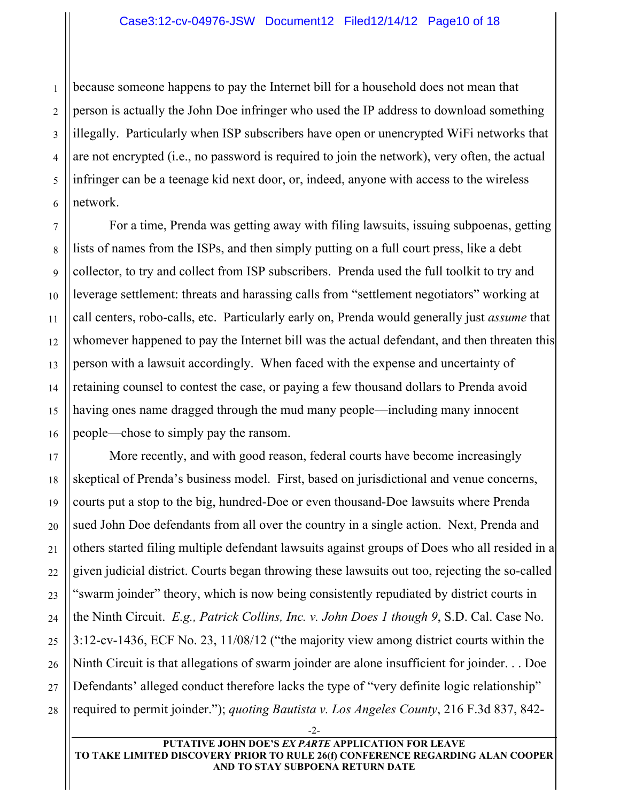because someone happens to pay the Internet bill for a household does not mean that person is actually the John Doe infringer who used the IP address to download something illegally. Particularly when ISP subscribers have open or unencrypted WiFi networks that are not encrypted (i.e., no password is required to join the network), very often, the actual infringer can be a teenage kid next door, or, indeed, anyone with access to the wireless network.

For a time, Prenda was getting away with filing lawsuits, issuing subpoenas, getting lists of names from the ISPs, and then simply putting on a full court press, like a debt collector, to try and collect from ISP subscribers. Prenda used the full toolkit to try and leverage settlement: threats and harassing calls from "settlement negotiators" working at call centers, robo-calls, etc. Particularly early on, Prenda would generally just *assume* that whomever happened to pay the Internet bill was the actual defendant, and then threaten this person with a lawsuit accordingly. When faced with the expense and uncertainty of retaining counsel to contest the case, or paying a few thousand dollars to Prenda avoid having ones name dragged through the mud many people—including many innocent people—chose to simply pay the ransom.

More recently, and with good reason, federal courts have become increasingly skeptical of Prenda's business model. First, based on jurisdictional and venue concerns, courts put a stop to the big, hundred-Doe or even thousand-Doe lawsuits where Prenda sued John Doe defendants from all over the country in a single action. Next, Prenda and others started filing multiple defendant lawsuits against groups of Does who all resided in a given judicial district. Courts began throwing these lawsuits out too, rejecting the so-called "swarm joinder" theory, which is now being consistently repudiated by district courts in the Ninth Circuit. *E.g., Patrick Collins, Inc. v. John Does 1 though 9*, S.D. Cal. Case No. 3:12-cv-1436, ECF No. 23, 11/08/12 ("the majority view among district courts within the Ninth Circuit is that allegations of swarm joinder are alone insufficient for joinder. . . Doe Defendants' alleged conduct therefore lacks the type of "very definite logic relationship" required to permit joinder."); *quoting Bautista v. Los Angeles County*, 216 F.3d 837, 842-

-2-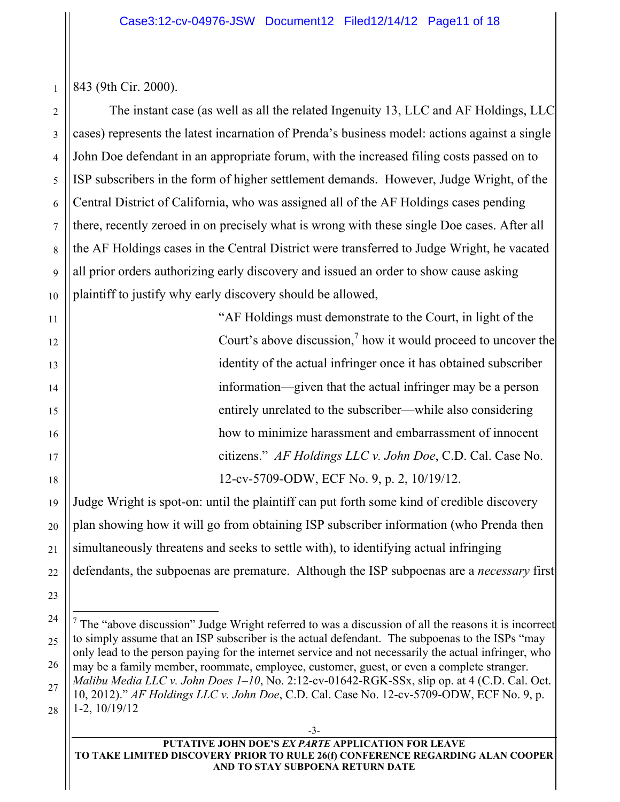843 (9th Cir. 2000).

The instant case (as well as all the related Ingenuity 13, LLC and AF Holdings, LLC cases) represents the latest incarnation of Prenda's business model: actions against a single John Doe defendant in an appropriate forum, with the increased filing costs passed on to ISP subscribers in the form of higher settlement demands. However, Judge Wright, of the Central District of California, who was assigned all of the AF Holdings cases pending there, recently zeroed in on precisely what is wrong with these single Doe cases. After all the AF Holdings cases in the Central District were transferred to Judge Wright, he vacated all prior orders authorizing early discovery and issued an order to show cause asking plaintiff to justify why early discovery should be allowed,

> "AF Holdings must demonstrate to the Court, in light of the Court's above discussion,<sup>7</sup> how it would proceed to uncover the identity of the actual infringer once it has obtained subscriber information—given that the actual infringer may be a person entirely unrelated to the subscriber—while also considering how to minimize harassment and embarrassment of innocent citizens." *AF Holdings LLC v. John Doe*, C.D. Cal. Case No. 12-cv-5709-ODW, ECF No. 9, p. 2, 10/19/12.

Judge Wright is spot-on: until the plaintiff can put forth some kind of credible discovery plan showing how it will go from obtaining ISP subscriber information (who Prenda then simultaneously threatens and seeks to settle with), to identifying actual infringing defendants, the subpoenas are premature. Although the ISP subpoenas are a *necessary* first

<sup>—&</sup>lt;br>7 The "above discussion" Judge Wright referred to was a discussion of all the reasons it is incorrect to simply assume that an ISP subscriber is the actual defendant. The subpoenas to the ISPs "may only lead to the person paying for the internet service and not necessarily the actual infringer, who may be a family member, roommate, employee, customer, guest, or even a complete stranger. *Malibu Media LLC v. John Does 1–10*, No. 2:12-cv-01642-RGK-SSx, slip op. at 4 (C.D. Cal. Oct. 10, 2012)." *AF Holdings LLC v. John Doe*, C.D. Cal. Case No. 12-cv-5709-ODW, ECF No. 9, p. 1-2, 10/19/12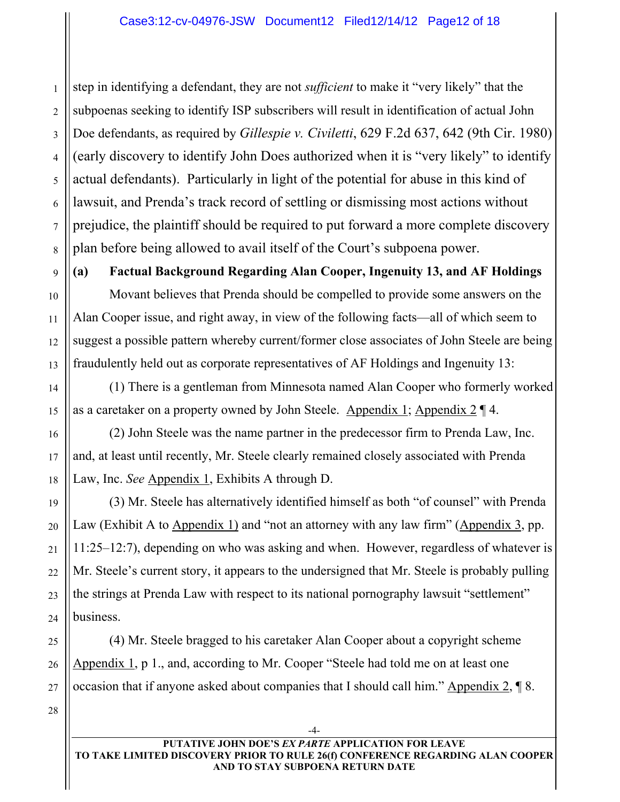1 2 3 4 5 6 7 8 step in identifying a defendant, they are not *sufficient* to make it "very likely" that the subpoenas seeking to identify ISP subscribers will result in identification of actual John Doe defendants, as required by *Gillespie v. Civiletti*, 629 F.2d 637, 642 (9th Cir. 1980) (early discovery to identify John Does authorized when it is "very likely" to identify actual defendants). Particularly in light of the potential for abuse in this kind of lawsuit, and Prenda's track record of settling or dismissing most actions without prejudice, the plaintiff should be required to put forward a more complete discovery plan before being allowed to avail itself of the Court's subpoena power.

**(a) Factual Background Regarding Alan Cooper, Ingenuity 13, and AF Holdings**

Movant believes that Prenda should be compelled to provide some answers on the Alan Cooper issue, and right away, in view of the following facts—all of which seem to suggest a possible pattern whereby current/former close associates of John Steele are being fraudulently held out as corporate representatives of AF Holdings and Ingenuity 13:

(1) There is a gentleman from Minnesota named Alan Cooper who formerly worked as a caretaker on a property owned by John Steele. Appendix 1; Appendix 2 ¶ 4.

(2) John Steele was the name partner in the predecessor firm to Prenda Law, Inc. and, at least until recently, Mr. Steele clearly remained closely associated with Prenda Law, Inc. *See* Appendix 1, Exhibits A through D.

(3) Mr. Steele has alternatively identified himself as both "of counsel" with Prenda Law (Exhibit A to Appendix 1) and "not an attorney with any law firm" (Appendix 3, pp. 11:25–12:7), depending on who was asking and when. However, regardless of whatever is Mr. Steele's current story, it appears to the undersigned that Mr. Steele is probably pulling the strings at Prenda Law with respect to its national pornography lawsuit "settlement" business.

(4) Mr. Steele bragged to his caretaker Alan Cooper about a copyright scheme Appendix 1, p 1., and, according to Mr. Cooper "Steele had told me on at least one occasion that if anyone asked about companies that I should call him." Appendix 2, ¶ 8.

28

9

10

11

12

13

14

15

16

17

18

19

20

21

22

23

24

25

26

27

-4-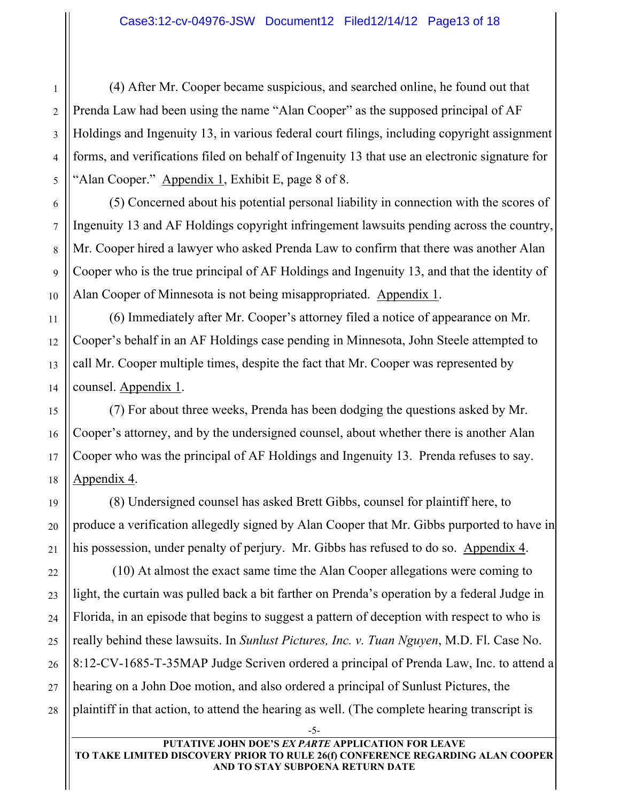(4) After Mr. Cooper became suspicious, and searched online, he found out that Prenda Law had been using the name "Alan Cooper" as the supposed principal of AF Holdings and Ingenuity 13, in various federal court filings, including copyright assignment forms, and verifications filed on behalf of Ingenuity 13 that use an electronic signature for "Alan Cooper." Appendix 1, Exhibit E, page 8 of 8.

(5) Concerned about his potential personal liability in connection with the scores of Ingenuity 13 and AF Holdings copyright infringement lawsuits pending across the country, Mr. Cooper hired a lawyer who asked Prenda Law to confirm that there was another Alan Cooper who is the true principal of AF Holdings and Ingenuity 13, and that the identity of Alan Cooper of Minnesota is not being misappropriated. Appendix 1.

(6) Immediately after Mr. Cooper's attorney filed a notice of appearance on Mr. Cooper's behalf in an AF Holdings case pending in Minnesota, John Steele attempted to call Mr. Cooper multiple times, despite the fact that Mr. Cooper was represented by counsel. Appendix 1.

(7) For about three weeks, Prenda has been dodging the questions asked by Mr. Cooper's attorney, and by the undersigned counsel, about whether there is another Alan Cooper who was the principal of AF Holdings and Ingenuity 13. Prenda refuses to say. Appendix 4.

(8) Undersigned counsel has asked Brett Gibbs, counsel for plaintiff here, to produce a verification allegedly signed by Alan Cooper that Mr. Gibbs purported to have in his possession, under penalty of perjury. Mr. Gibbs has refused to do so. Appendix 4.

 (10) At almost the exact same time the Alan Cooper allegations were coming to light, the curtain was pulled back a bit farther on Prenda's operation by a federal Judge in Florida, in an episode that begins to suggest a pattern of deception with respect to who is really behind these lawsuits. In *Sunlust Pictures, Inc. v. Tuan Nguyen*, M.D. Fl. Case No. 8:12-CV-1685-T-35MAP Judge Scriven ordered a principal of Prenda Law, Inc. to attend a hearing on a John Doe motion, and also ordered a principal of Sunlust Pictures, the plaintiff in that action, to attend the hearing as well. (The complete hearing transcript is

1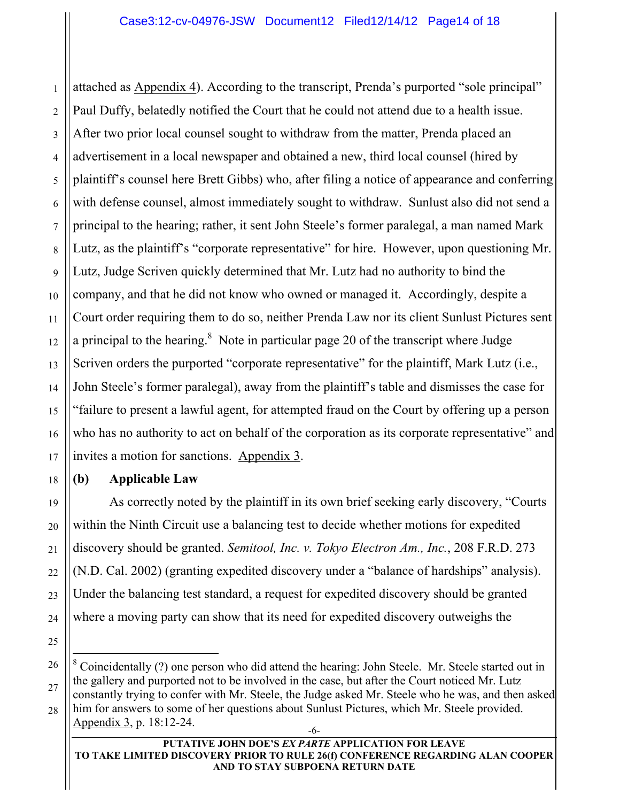1 attached as Appendix 4). According to the transcript, Prenda's purported "sole principal" Paul Duffy, belatedly notified the Court that he could not attend due to a health issue. After two prior local counsel sought to withdraw from the matter, Prenda placed an advertisement in a local newspaper and obtained a new, third local counsel (hired by plaintiff's counsel here Brett Gibbs) who, after filing a notice of appearance and conferring with defense counsel, almost immediately sought to withdraw. Sunlust also did not send a principal to the hearing; rather, it sent John Steele's former paralegal, a man named Mark Lutz, as the plaintiff's "corporate representative" for hire. However, upon questioning Mr. Lutz, Judge Scriven quickly determined that Mr. Lutz had no authority to bind the company, and that he did not know who owned or managed it. Accordingly, despite a Court order requiring them to do so, neither Prenda Law nor its client Sunlust Pictures sent a principal to the hearing. $8$  Note in particular page 20 of the transcript where Judge Scriven orders the purported "corporate representative" for the plaintiff, Mark Lutz (i.e., John Steele's former paralegal), away from the plaintiff's table and dismisses the case for "failure to present a lawful agent, for attempted fraud on the Court by offering up a person who has no authority to act on behalf of the corporation as its corporate representative" and invites a motion for sanctions. Appendix 3.

## **(b) Applicable Law**

Appendix 3, p. 18:12-24.

As correctly noted by the plaintiff in its own brief seeking early discovery, "Courts within the Ninth Circuit use a balancing test to decide whether motions for expedited discovery should be granted. *Semitool, Inc. v. Tokyo Electron Am., Inc.*, 208 F.R.D. 273 (N.D. Cal. 2002) (granting expedited discovery under a "balance of hardships" analysis). Under the balancing test standard, a request for expedited discovery should be granted where a moving party can show that its need for expedited discovery outweighs the

 <sup>8</sup>  $8^{\circ}$  Coincidentally (?) one person who did attend the hearing: John Steele. Mr. Steele started out in the gallery and purported not to be involved in the case, but after the Court noticed Mr. Lutz constantly trying to confer with Mr. Steele, the Judge asked Mr. Steele who he was, and then asked him for answers to some of her questions about Sunlust Pictures, which Mr. Steele provided.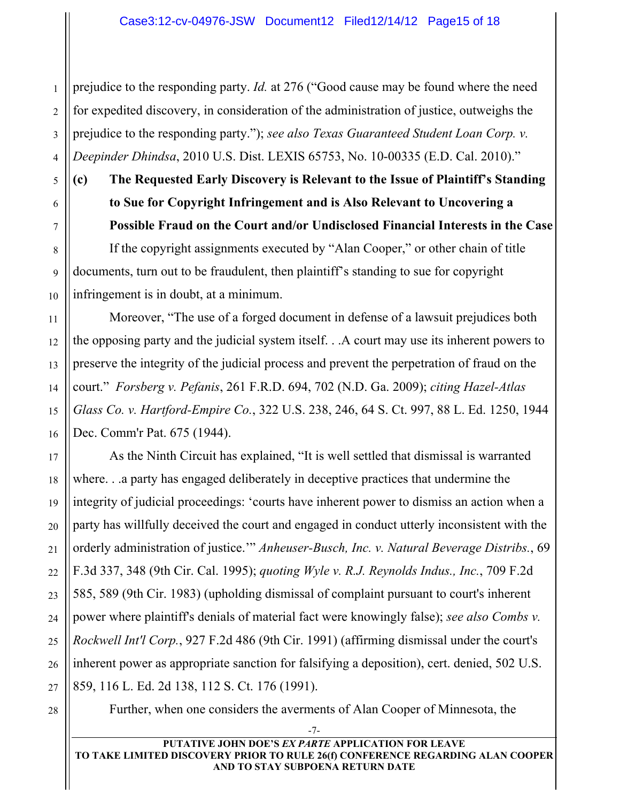prejudice to the responding party. *Id.* at 276 ("Good cause may be found where the need for expedited discovery, in consideration of the administration of justice, outweighs the prejudice to the responding party."); *see also Texas Guaranteed Student Loan Corp. v. Deepinder Dhindsa*, 2010 U.S. Dist. LEXIS 65753, No. 10-00335 (E.D. Cal. 2010)."

**(c) The Requested Early Discovery is Relevant to the Issue of Plaintiff's Standing to Sue for Copyright Infringement and is Also Relevant to Uncovering a Possible Fraud on the Court and/or Undisclosed Financial Interests in the Case** If the copyright assignments executed by "Alan Cooper," or other chain of title documents, turn out to be fraudulent, then plaintiff's standing to sue for copyright infringement is in doubt, at a minimum.

Moreover, "The use of a forged document in defense of a lawsuit prejudices both the opposing party and the judicial system itself. . .A court may use its inherent powers to preserve the integrity of the judicial process and prevent the perpetration of fraud on the court." *Forsberg v. Pefanis*, 261 F.R.D. 694, 702 (N.D. Ga. 2009); *citing Hazel-Atlas Glass Co. v. Hartford-Empire Co.*, 322 U.S. 238, 246, 64 S. Ct. 997, 88 L. Ed. 1250, 1944 Dec. Comm'r Pat. 675 (1944).

As the Ninth Circuit has explained, "It is well settled that dismissal is warranted where. . .a party has engaged deliberately in deceptive practices that undermine the integrity of judicial proceedings: 'courts have inherent power to dismiss an action when a party has willfully deceived the court and engaged in conduct utterly inconsistent with the orderly administration of justice.'" *Anheuser-Busch, Inc. v. Natural Beverage Distribs.*, 69 F.3d 337, 348 (9th Cir. Cal. 1995); *quoting Wyle v. R.J. Reynolds Indus., Inc.*, 709 F.2d 585, 589 (9th Cir. 1983) (upholding dismissal of complaint pursuant to court's inherent power where plaintiff's denials of material fact were knowingly false); *see also Combs v. Rockwell Int'l Corp.*, 927 F.2d 486 (9th Cir. 1991) (affirming dismissal under the court's inherent power as appropriate sanction for falsifying a deposition), cert. denied, 502 U.S. 859, 116 L. Ed. 2d 138, 112 S. Ct. 176 (1991).

28

Further, when one considers the averments of Alan Cooper of Minnesota, the

-7-

**PUTATIVE JOHN DOE'S** *EX PARTE* **APPLICATION FOR LEAVE TO TAKE LIMITED DISCOVERY PRIOR TO RULE 26(f) CONFERENCE REGARDING ALAN COOPER AND TO STAY SUBPOENA RETURN DATE**

1

2

3

4

5

6

7

8

9

10

11

12

13

14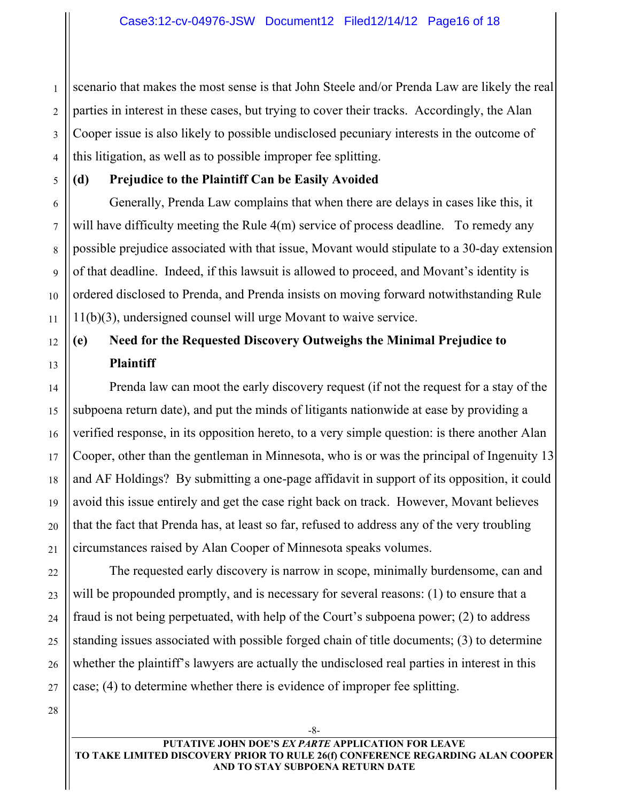2 4 scenario that makes the most sense is that John Steele and/or Prenda Law are likely the real parties in interest in these cases, but trying to cover their tracks. Accordingly, the Alan Cooper issue is also likely to possible undisclosed pecuniary interests in the outcome of this litigation, as well as to possible improper fee splitting.

## **(d) Prejudice to the Plaintiff Can be Easily Avoided**

Generally, Prenda Law complains that when there are delays in cases like this, it will have difficulty meeting the Rule 4(m) service of process deadline. To remedy any possible prejudice associated with that issue, Movant would stipulate to a 30-day extension of that deadline. Indeed, if this lawsuit is allowed to proceed, and Movant's identity is ordered disclosed to Prenda, and Prenda insists on moving forward notwithstanding Rule 11(b)(3), undersigned counsel will urge Movant to waive service.

# **(e) Need for the Requested Discovery Outweighs the Minimal Prejudice to Plaintiff**

Prenda law can moot the early discovery request (if not the request for a stay of the subpoena return date), and put the minds of litigants nationwide at ease by providing a verified response, in its opposition hereto, to a very simple question: is there another Alan Cooper, other than the gentleman in Minnesota, who is or was the principal of Ingenuity 13 and AF Holdings? By submitting a one-page affidavit in support of its opposition, it could avoid this issue entirely and get the case right back on track. However, Movant believes that the fact that Prenda has, at least so far, refused to address any of the very troubling circumstances raised by Alan Cooper of Minnesota speaks volumes.

The requested early discovery is narrow in scope, minimally burdensome, can and will be propounded promptly, and is necessary for several reasons: (1) to ensure that a fraud is not being perpetuated, with help of the Court's subpoena power; (2) to address standing issues associated with possible forged chain of title documents; (3) to determine whether the plaintiff's lawyers are actually the undisclosed real parties in interest in this case; (4) to determine whether there is evidence of improper fee splitting.

28

1

3

5

6

7

8

9

10

11

12

13

14

15

16

17

18

19

20

21

22

23

24

25

26

27

-8-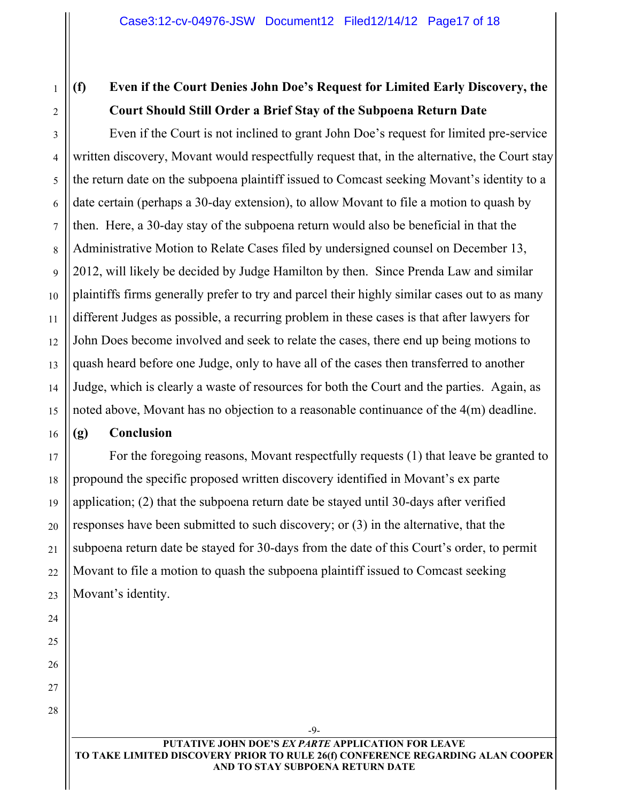1 2

3

4

5

6

7

8

9

10

11

12

13

14

15

16

17

18

# **(f) Even if the Court Denies John Doe's Request for Limited Early Discovery, the Court Should Still Order a Brief Stay of the Subpoena Return Date**

Even if the Court is not inclined to grant John Doe's request for limited pre-service written discovery, Movant would respectfully request that, in the alternative, the Court stay the return date on the subpoena plaintiff issued to Comcast seeking Movant's identity to a date certain (perhaps a 30-day extension), to allow Movant to file a motion to quash by then. Here, a 30-day stay of the subpoena return would also be beneficial in that the Administrative Motion to Relate Cases filed by undersigned counsel on December 13, 2012, will likely be decided by Judge Hamilton by then. Since Prenda Law and similar plaintiffs firms generally prefer to try and parcel their highly similar cases out to as many different Judges as possible, a recurring problem in these cases is that after lawyers for John Does become involved and seek to relate the cases, there end up being motions to quash heard before one Judge, only to have all of the cases then transferred to another Judge, which is clearly a waste of resources for both the Court and the parties. Again, as noted above, Movant has no objection to a reasonable continuance of the 4(m) deadline.

## **(g) Conclusion**

For the foregoing reasons, Movant respectfully requests (1) that leave be granted to propound the specific proposed written discovery identified in Movant's ex parte application; (2) that the subpoena return date be stayed until 30-days after verified responses have been submitted to such discovery; or (3) in the alternative, that the subpoena return date be stayed for 30-days from the date of this Court's order, to permit Movant to file a motion to quash the subpoena plaintiff issued to Comcast seeking Movant's identity.